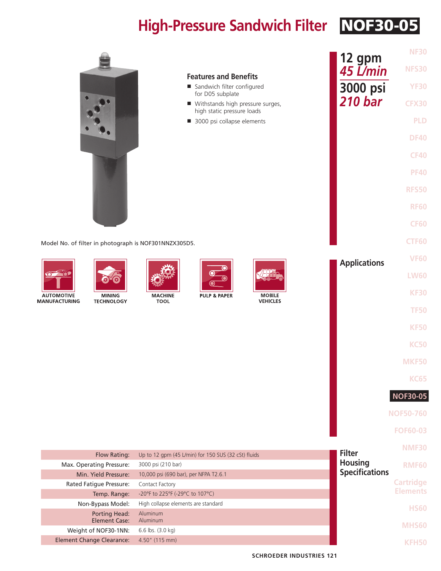## **High-Pressure Sandwich Filter** NOF30-05

|                                                       |                                                                           | 12 gpm              | <b>NF30</b>      |
|-------------------------------------------------------|---------------------------------------------------------------------------|---------------------|------------------|
|                                                       | <b>Features and Benefits</b>                                              | 45 L/min            | <b>NFS30</b>     |
|                                                       | Sandwich filter configured<br>for D05 subplate                            | 3000 psi            | <b>YF30</b>      |
|                                                       | ■ Withstands high pressure surges,                                        | <b>210 bar</b>      | <b>CFX30</b>     |
|                                                       | high static pressure loads<br>3000 psi collapse elements                  |                     | <b>PLD</b>       |
|                                                       |                                                                           |                     | <b>DF40</b>      |
|                                                       |                                                                           |                     | <b>CF40</b>      |
|                                                       |                                                                           |                     | <b>PF40</b>      |
|                                                       |                                                                           |                     | <b>RFS50</b>     |
|                                                       |                                                                           |                     |                  |
|                                                       |                                                                           |                     | <b>RF60</b>      |
|                                                       |                                                                           |                     | <b>CF60</b>      |
| Model No. of filter in photograph is NOF301NNZX305D5. |                                                                           |                     | <b>CTF60</b>     |
|                                                       |                                                                           | <b>Applications</b> | <b>VF60</b>      |
| $\circ$ $\bullet$                                     |                                                                           |                     | <b>LW60</b>      |
| <b>AUTOMOTIVE</b><br><b>MINING</b>                    | <b>MOBILE</b><br><b>MACHINE</b><br><b>PULP &amp; PAPER</b>                |                     | <b>KF30</b>      |
| <b>MANUFACTURING</b><br><b>TECHNOLOGY</b>             | <b>VEHICLES</b><br><b>TOOL</b>                                            |                     | <b>TF50</b>      |
|                                                       |                                                                           |                     | <b>KF50</b>      |
|                                                       |                                                                           |                     | <b>KC50</b>      |
|                                                       |                                                                           |                     |                  |
|                                                       |                                                                           |                     | <b>MKF50</b>     |
|                                                       |                                                                           |                     | <b>KC65</b>      |
|                                                       |                                                                           |                     | <b>NOF30-05</b>  |
|                                                       |                                                                           |                     | <b>NOF50-760</b> |
|                                                       |                                                                           |                     | <b>FOF60-03</b>  |
|                                                       |                                                                           | <b>Filter</b>       | <b>NMF30</b>     |
| Flow Rating:<br>Max. Operating Pressure:              | Up to 12 gpm (45 L/min) for 150 SUS (32 cSt) fluids<br>3000 psi (210 bar) | <b>Housing</b>      | <b>RMF60</b>     |
| Min. Yield Pressure:                                  | 10,000 psi (690 bar), per NFPA T2.6.1                                     |                     |                  |
| Rated Fatigue Pressure:                               | Contact Factory                                                           |                     | <b>Cartridge</b> |
| Temp. Range:                                          |                                                                           | <b>Elements</b>     |                  |
| Non-Bypass Model:                                     | High collapse elements are standard                                       |                     | <b>HS60</b>      |
| <b>Porting Head:</b><br><b>Element Case:</b>          | Aluminum<br>Aluminum                                                      |                     |                  |
| Weight of NOF30-1NN:                                  | 6.6 lbs. (3.0 kg)                                                         |                     | MHS60            |
| <b>Element Change Clearance:</b>                      | 4.50" (115 mm)                                                            |                     | KFH50            |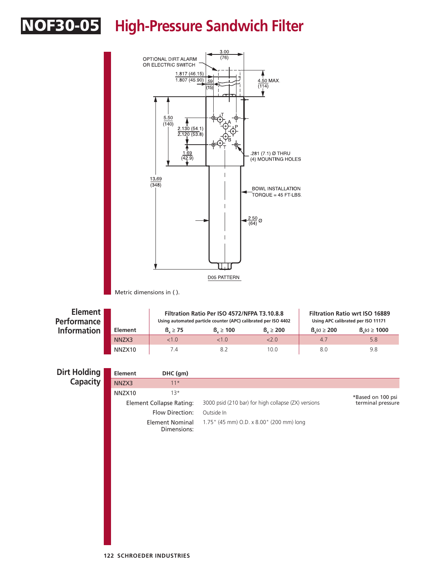## **OF30-05** High-Pressure Sandwich Filter

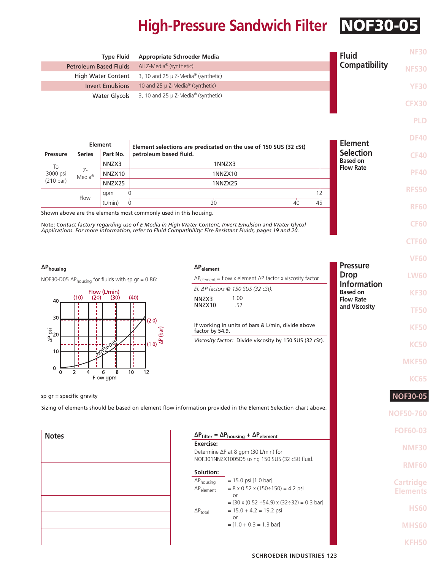## **High-Pressure Sandwich Filter** NOF30-05

|                                                                                                                           |                          | <b>Type Fluid</b>             | <b>Appropriate Schroeder Media</b>                               |                             |                                                                                                                                                                                                                     |                                     | <b>Fluid</b>                       | <b>NF30</b>      |
|---------------------------------------------------------------------------------------------------------------------------|--------------------------|-------------------------------|------------------------------------------------------------------|-----------------------------|---------------------------------------------------------------------------------------------------------------------------------------------------------------------------------------------------------------------|-------------------------------------|------------------------------------|------------------|
|                                                                                                                           |                          | <b>Petroleum Based Fluids</b> | All Z-Media® (synthetic)                                         |                             |                                                                                                                                                                                                                     |                                     | <b>Compatibility</b>               | <b>NFS30</b>     |
|                                                                                                                           |                          | <b>High Water Content</b>     | 3, 10 and 25 µ Z-Media® (synthetic)                              |                             |                                                                                                                                                                                                                     |                                     |                                    |                  |
|                                                                                                                           |                          | <b>Invert Emulsions</b>       | 10 and 25 µ Z-Media® (synthetic)                                 |                             |                                                                                                                                                                                                                     |                                     |                                    | <b>YF30</b>      |
|                                                                                                                           |                          | <b>Water Glycols</b>          | 3, 10 and 25 $\mu$ Z-Media® (synthetic)                          |                             |                                                                                                                                                                                                                     |                                     |                                    | <b>CFX30</b>     |
|                                                                                                                           |                          |                               |                                                                  |                             |                                                                                                                                                                                                                     |                                     |                                    | <b>PLD</b>       |
|                                                                                                                           |                          |                               |                                                                  |                             |                                                                                                                                                                                                                     |                                     |                                    | <b>DF40</b>      |
|                                                                                                                           |                          | <b>Element</b>                | petroleum based fluid.                                           |                             | Element selections are predicated on the use of 150 SUS (32 cSt)                                                                                                                                                    |                                     | <b>Element</b><br><b>Selection</b> |                  |
| <b>Pressure</b>                                                                                                           | <b>Series</b>            | Part No.<br>NNZX3             |                                                                  |                             | 1NNZX3                                                                                                                                                                                                              |                                     | <b>Based on</b>                    | <b>CF40</b>      |
| To<br>3000 psi                                                                                                            | Z-<br>Media <sup>®</sup> | NNZX10                        |                                                                  |                             | 1NNZX10                                                                                                                                                                                                             |                                     | <b>Flow Rate</b>                   | <b>PF40</b>      |
| $(210 \text{ bar})$                                                                                                       |                          | NNZX25                        |                                                                  |                             | 1NNZX25                                                                                                                                                                                                             |                                     |                                    |                  |
|                                                                                                                           | Flow                     | gpm                           | Ò                                                                |                             |                                                                                                                                                                                                                     | 12                                  |                                    | <b>RFS50</b>     |
|                                                                                                                           |                          | (L/min)                       | $\Omega$                                                         | $20^{\circ}$                | $\overline{40}$                                                                                                                                                                                                     | 4 <sub>5</sub>                      |                                    | <b>RF60</b>      |
|                                                                                                                           |                          |                               | Shown above are the elements most commonly used in this housing. |                             |                                                                                                                                                                                                                     |                                     |                                    |                  |
|                                                                                                                           |                          |                               |                                                                  |                             | Note: Contact factory regarding use of E Media in High Water Content, Invert Emulsion and Water Glycol<br>Applications. For more information, refer to Fluid Compatibility: Fire Resistant Fluids, pages 19 and 20. |                                     |                                    | <b>CF60</b>      |
|                                                                                                                           |                          |                               |                                                                  |                             |                                                                                                                                                                                                                     |                                     |                                    | <b>CTF60</b>     |
|                                                                                                                           |                          |                               |                                                                  |                             |                                                                                                                                                                                                                     |                                     |                                    |                  |
|                                                                                                                           |                          |                               |                                                                  | $\Delta P_{element}$        |                                                                                                                                                                                                                     |                                     | <b>Pressure</b>                    | <b>VF60</b>      |
| $\Delta P_{\text{housing}}$                                                                                               |                          |                               |                                                                  |                             | $\Delta P_{element}$ = flow x element $\Delta P$ factor x viscosity factor                                                                                                                                          |                                     | <b>Drop</b>                        | <b>LW60</b>      |
| NOF30-D05 $\Delta P_{\text{housing}}$ for fluids with sp gr = 0.86:<br>Flow (L/min)<br>(20)<br>(40)<br>(10)<br>(30)<br>40 |                          |                               |                                                                  |                             | El. $\Delta P$ factors @ 150 SUS (32 cSt):                                                                                                                                                                          |                                     | <b>Information</b>                 |                  |
|                                                                                                                           |                          |                               |                                                                  | 1.00<br>NNZX3               |                                                                                                                                                                                                                     | <b>Based on</b><br><b>Flow Rate</b> | <b>KF30</b>                        |                  |
|                                                                                                                           |                          |                               |                                                                  | NNZX10<br>.52               |                                                                                                                                                                                                                     | and Viscosity                       | <b>TF50</b>                        |                  |
| 30                                                                                                                        |                          |                               | (2.0)                                                            |                             |                                                                                                                                                                                                                     |                                     |                                    |                  |
| $\frac{a}{4}$ 20                                                                                                          |                          |                               |                                                                  | factor by 54.9.             | If working in units of bars & L/min, divide above                                                                                                                                                                   |                                     |                                    | <b>KF50</b>      |
|                                                                                                                           |                          | 0130-003                      | $(1.0)$ $\overset{\text{A}}{\triangleq}$                         |                             | Viscosity factor: Divide viscosity by 150 SUS (32 cSt).                                                                                                                                                             |                                     |                                    | <b>KC50</b>      |
| 10                                                                                                                        |                          |                               |                                                                  |                             |                                                                                                                                                                                                                     |                                     |                                    |                  |
| 0                                                                                                                         |                          |                               |                                                                  |                             |                                                                                                                                                                                                                     |                                     |                                    | <b>MKF50</b>     |
|                                                                                                                           | 4                        | 6<br>8<br>Flow gpm            | 10<br>12                                                         |                             |                                                                                                                                                                                                                     |                                     |                                    | <b>KC65</b>      |
|                                                                                                                           |                          |                               |                                                                  |                             |                                                                                                                                                                                                                     |                                     |                                    |                  |
| sp $gr = specific gravity$                                                                                                |                          |                               |                                                                  |                             |                                                                                                                                                                                                                     |                                     |                                    | <b>NOF30-05</b>  |
|                                                                                                                           |                          |                               |                                                                  |                             | Sizing of elements should be based on element flow information provided in the Element Selection chart above.                                                                                                       |                                     |                                    | <b>NOF50-760</b> |
|                                                                                                                           |                          |                               |                                                                  |                             |                                                                                                                                                                                                                     |                                     |                                    |                  |
| <b>Notes</b>                                                                                                              |                          |                               |                                                                  |                             | $\Delta P_{filter} = \Delta P_{housing} + \Delta P_{element}$                                                                                                                                                       |                                     |                                    | <b>FOF60-03</b>  |
|                                                                                                                           |                          |                               | Exercise:                                                        |                             |                                                                                                                                                                                                                     |                                     | <b>NMF30</b>                       |                  |
|                                                                                                                           |                          |                               |                                                                  |                             | Determine $\Delta P$ at 8 gpm (30 L/min) for<br>NOF301NNZX1005D5 using 150 SUS (32 cSt) fluid.                                                                                                                      |                                     |                                    |                  |
|                                                                                                                           |                          |                               |                                                                  | Solution:                   |                                                                                                                                                                                                                     |                                     |                                    | <b>RMF60</b>     |
|                                                                                                                           |                          |                               |                                                                  | $\Delta P_{\text{housing}}$ | $= 15.0$ psi $[1.0$ bar]                                                                                                                                                                                            |                                     |                                    | <b>Cartridge</b> |
|                                                                                                                           |                          |                               |                                                                  | $\Delta P_{element}$        | $= 8 \times 0.52 \times (150 \div 150) = 4.2$ psi                                                                                                                                                                   |                                     |                                    | <b>Elements</b>  |
|                                                                                                                           |                          |                               |                                                                  |                             | or<br>$=[30 \times (0.52 \div 54.9) \times (32 \div 32) = 0.3 \text{ bar}]$                                                                                                                                         |                                     |                                    |                  |
|                                                                                                                           |                          |                               |                                                                  | $\Delta P_{total}$          | $= 15.0 + 4.2 = 19.2$ psi<br>or                                                                                                                                                                                     |                                     |                                    | <b>HS60</b>      |
|                                                                                                                           |                          |                               |                                                                  |                             | $=[1.0 + 0.3 = 1.3 \text{ bar}]$                                                                                                                                                                                    |                                     |                                    | <b>MHS60</b>     |
|                                                                                                                           |                          |                               |                                                                  |                             |                                                                                                                                                                                                                     |                                     |                                    |                  |
|                                                                                                                           |                          |                               |                                                                  |                             |                                                                                                                                                                                                                     |                                     |                                    | <b>KFH50</b>     |